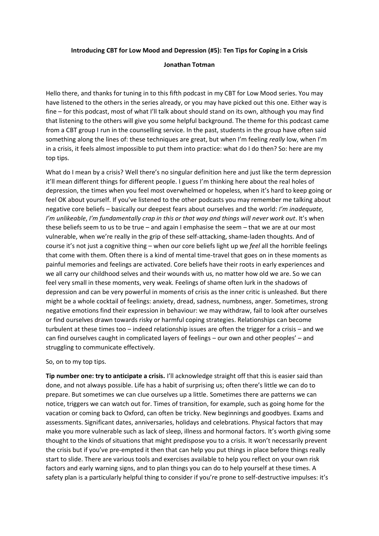### **Introducing CBT for Low Mood and Depression (#5): Ten Tips for Coping in a Crisis**

### **Jonathan Totman**

Hello there, and thanks for tuning in to this fifth podcast in my CBT for Low Mood series. You may have listened to the others in the series already, or you may have picked out this one. Either way is fine – for this podcast, most of what I'll talk about should stand on its own, although you may find that listening to the others will give you some helpful background. The theme for this podcast came from a CBT group I run in the counselling service. In the past, students in the group have often said something along the lines of: these techniques are great, but when I'm feeling *really* low, when I'm in a crisis, it feels almost impossible to put them into practice: what do I do then? So: here are my top tips.

What do I mean by a crisis? Well there's no singular definition here and just like the term depression it'll mean different things for different people. I guess I'm thinking here about the real holes of depression, the times when you feel most overwhelmed or hopeless, when it's hard to keep going or feel OK about yourself. If you've listened to the other podcasts you may remember me talking about negative core beliefs – basically our deepest fears about ourselves and the world: *I'm inadequate, I'm unlikeable*, *I'm fundamentally crap in this or that way and things will never work out*. It's when these beliefs seem to us to be true – and again I emphasise the seem – that we are at our most vulnerable, when we're really in the grip of these self-attacking, shame-laden thoughts. And of course it's not just a cognitive thing – when our core beliefs light up we *feel* all the horrible feelings that come with them. Often there is a kind of mental time-travel that goes on in these moments as painful memories and feelings are activated. Core beliefs have their roots in early experiences and we all carry our childhood selves and their wounds with us, no matter how old we are. So we can feel very small in these moments, very weak. Feelings of shame often lurk in the shadows of depression and can be very powerful in moments of crisis as the inner critic is unleashed. But there might be a whole cocktail of feelings: anxiety, dread, sadness, numbness, anger. Sometimes, strong negative emotions find their expression in behaviour: we may withdraw, fail to look after ourselves or find ourselves drawn towards risky or harmful coping strategies. Relationships can become turbulent at these times too – indeed relationship issues are often the trigger for a crisis – and we can find ourselves caught in complicated layers of feelings – our own and other peoples' – and struggling to communicate effectively.

#### So, on to my top tips.

**Tip number one: try to anticipate a crisis.** I'll acknowledge straight off that this is easier said than done, and not always possible. Life has a habit of surprising us; often there's little we can do to prepare. But sometimes we can clue ourselves up a little. Sometimes there are patterns we can notice, triggers we can watch out for. Times of transition, for example, such as going home for the vacation or coming back to Oxford, can often be tricky. New beginnings and goodbyes. Exams and assessments. Significant dates, anniversaries, holidays and celebrations. Physical factors that may make you more vulnerable such as lack of sleep, illness and hormonal factors. It's worth giving some thought to the kinds of situations that might predispose you to a crisis. It won't necessarily prevent the crisis but if you've pre-empted it then that can help you put things in place before things really start to slide. There are various tools and exercises available to help you reflect on your own risk factors and early warning signs, and to plan things you can do to help yourself at these times. A safety plan is a particularly helpful thing to consider if you're prone to self-destructive impulses: it's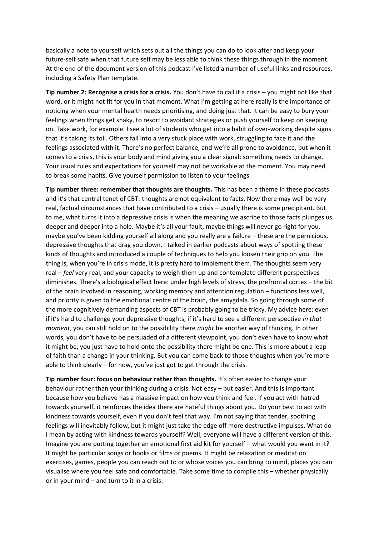basically a note to yourself which sets out all the things you can do to look after and keep your future-self safe when that future self may be less able to think these things through in the moment. At the end of the document version of this podcast I've listed a number of useful links and resources, including a Safety Plan template.

**Tip number 2: Recognise a crisis for a crisis.** You don't have to call it a crisis – you might not like that word, or it might not fit for you in that moment. What I'm getting at here really is the importance of noticing when your mental health needs prioritising, and doing just that. It can be easy to bury your feelings when things get shaky, to resort to avoidant strategies or push yourself to keep on keeping on. Take work, for example. I see a lot of students who get into a habit of over-working despite signs that it's taking its toll. Others fall into a very stuck place with work, struggling to face it and the feelings associated with it. There's no perfect balance, and we're all prone to avoidance, but when it comes to a crisis, this is your body and mind giving you a clear signal: something needs to change. Your usual rules and expectations for yourself may not be workable at the moment. You may need to break some habits. Give yourself permission to listen to your feelings.

**Tip number three: remember that thoughts are thoughts.** This has been a theme in these podcasts and it's that central tenet of CBT: thoughts are not equivalent to facts. Now there may well be very real, factual circumstances that have contributed to a crisis – usually there is some precipitant. But to me, what turns it into a depressive crisis is when the meaning we ascribe to those facts plunges us deeper and deeper into a hole. Maybe it's all your fault, maybe things will never go right for you, maybe you've been kidding yourself all along and you really are a failure – these are the pernicious, depressive thoughts that drag you down. I talked in earlier podcasts about ways of spotting these kinds of thoughts and introduced a couple of techniques to help you loosen their grip on you. The thing is, when you're in crisis mode, it is pretty hard to implement them. The thoughts seem very real – *feel* very real, and your capacity to weigh them up and contemplate different perspectives diminishes. There's a biological effect here: under high levels of stress, the prefrontal cortex – the bit of the brain involved in reasoning, working memory and attention regulation – functions less well, and priority is given to the emotional centre of the brain, the amygdala. So going through some of the more cognitively demanding aspects of CBT is probably going to be tricky. My advice here: even if it's hard to challenge your depressive thoughts, if it's hard to see a different perspective *in that moment*, you can still hold on to the possibility there *might* be another way of thinking. In other words, you don't have to be persuaded of a different viewpoint, you don't even have to know what it might be, you just have to hold onto the possibility there might be one. This is more about a leap of faith than a change in your thinking. But you can come back to those thoughts when you're more able to think clearly – for now, you've just got to get through the crisis.

**Tip number four: focus on behaviour rather than thoughts.** It's often easier to change your behaviour rather than your thinking during a crisis. Not easy – but easier. And this is important because how you behave has a massive impact on how you think and feel. If you act with hatred towards yourself, it reinforces the idea there are hateful things about you. Do your best to act with kindness towards yourself, even if you don't feel that way. I'm not saying that tender, soothing feelings will inevitably follow, but it might just take the edge off more destructive impulses. What do I mean by acting with kindness towards yourself? Well, everyone will have a different version of this. Imagine you are putting together an emotional first aid kit for yourself – what would you want in it? It might be particular songs or books or films or poems. It might be relaxation or meditation exercises, games, people you can reach out to or whose voices you can bring to mind, places you can visualise where you feel safe and comfortable. Take some time to compile this – whether physically or in your mind – and turn to it in a crisis.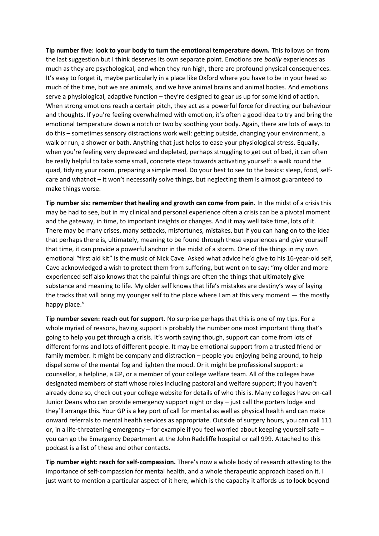**Tip number five: look to your body to turn the emotional temperature down.** This follows on from the last suggestion but I think deserves its own separate point. Emotions are *bodily* experiences as much as they are psychological, and when they run high, there are profound physical consequences. It's easy to forget it, maybe particularly in a place like Oxford where you have to be in your head so much of the time, but we are animals, and we have animal brains and animal bodies. And emotions serve a physiological, adaptive function – they're designed to gear us up for some kind of action. When strong emotions reach a certain pitch, they act as a powerful force for directing our behaviour and thoughts. If you're feeling overwhelmed with emotion, it's often a good idea to try and bring the emotional temperature down a notch or two by soothing your body. Again, there are lots of ways to do this – sometimes sensory distractions work well: getting outside, changing your environment, a walk or run, a shower or bath. Anything that just helps to ease your physiological stress. Equally, when you're feeling very depressed and depleted, perhaps struggling to get out of bed, it can often be really helpful to take some small, concrete steps towards activating yourself: a walk round the quad, tidying your room, preparing a simple meal. Do your best to see to the basics: sleep, food, selfcare and whatnot – it won't necessarily solve things, but neglecting them is almost guaranteed to make things worse.

**Tip number six: remember that healing and growth can come from pain.** In the midst of a crisis this may be had to see, but in my clinical and personal experience often a crisis can be a pivotal moment and the gateway, in time, to important insights or changes. And it may well take time, lots of it. There may be many crises, many setbacks, misfortunes, mistakes, but if you can hang on to the idea that perhaps there is, ultimately, meaning to be found through these experiences and *give* yourself that time, it can provide a powerful anchor in the midst of a storm. One of the things in my own emotional "first aid kit" is the music of Nick Cave. Asked what advice he'd give to his 16-year-old self, Cave acknowledged a wish to protect them from suffering, but went on to say: "my older and more experienced self also knows that the painful things are often the things that ultimately give substance and meaning to life. My older self knows that life's mistakes are destiny's way of laying the tracks that will bring my younger self to the place where I am at this very moment — the mostly happy place."

**Tip number seven: reach out for support.** No surprise perhaps that this is one of my tips. For a whole myriad of reasons, having support is probably the number one most important thing that's going to help you get through a crisis. It's worth saying though, support can come from lots of different forms and lots of different people. It may be emotional support from a trusted friend or family member. It might be company and distraction – people you enjoying being around, to help dispel some of the mental fog and lighten the mood. Or it might be professional support: a counsellor, a helpline, a GP, or a member of your college welfare team. All of the colleges have designated members of staff whose roles including pastoral and welfare support; if you haven't already done so, check out your college website for details of who this is. Many colleges have on-call Junior Deans who can provide emergency support night or day – just call the porters lodge and they'll arrange this. Your GP is a key port of call for mental as well as physical health and can make onward referrals to mental health services as appropriate. Outside of surgery hours, you can call 111 or, in a life-threatening emergency – for example if you feel worried about keeping yourself safe – you can go the Emergency Department at the John Radcliffe hospital or call 999. Attached to this podcast is a list of these and other contacts.

**Tip number eight: reach for self-compassion.** There's now a whole body of research attesting to the importance of self-compassion for mental health, and a whole therapeutic approach based on it. I just want to mention a particular aspect of it here, which is the capacity it affords us to look beyond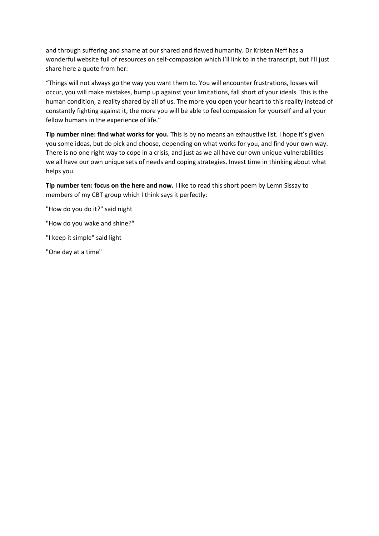and through suffering and shame at our shared and flawed humanity. Dr Kristen Neff has a wonderful website full of resources on self-compassion which I'll link to in the transcript, but I'll just share here a quote from her:

"Things will not always go the way you want them to. You will encounter frustrations, losses will occur, you will make mistakes, bump up against your limitations, fall short of your ideals. This is the human condition, a reality shared by all of us. The more you open your heart to this reality instead of constantly fighting against it, the more you will be able to feel compassion for yourself and all your fellow humans in the experience of life."

**Tip number nine: find what works for you.** This is by no means an exhaustive list. I hope it's given you some ideas, but do pick and choose, depending on what works for you, and find your own way. There is no one right way to cope in a crisis, and just as we all have our own unique vulnerabilities we all have our own unique sets of needs and coping strategies. Invest time in thinking about what helps you.

**Tip number ten: focus on the here and now.** I like to read this short poem by Lemn Sissay to members of my CBT group which I think says it perfectly:

"How do you do it?" said night

"How do you wake and shine?"

"I keep it simple" said light

"One day at a time"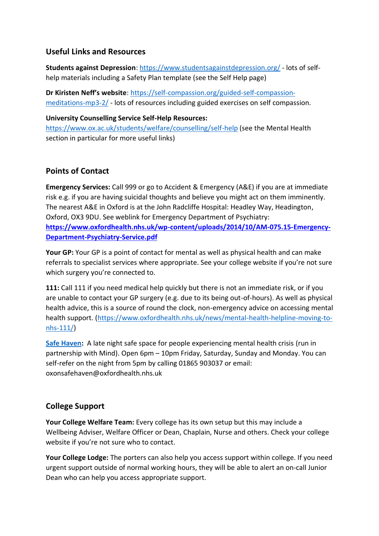# **Useful Links and Resources**

**Students against Depression**:<https://www.studentsagainstdepression.org/> - lots of selfhelp materials including a Safety Plan template (see the Self Help page)

**Dr Kiristen Neff's website**: [https://self-compassion.org/guided-self-compassion](https://self-compassion.org/guided-self-compassion-meditations-mp3-2/)[meditations-mp3-2/](https://self-compassion.org/guided-self-compassion-meditations-mp3-2/) - lots of resources including guided exercises on self compassion.

### **University Counselling Service Self-Help Resources:**

<https://www.ox.ac.uk/students/welfare/counselling/self-help> (see the Mental Health section in particular for more useful links)

# **Points of Contact**

**Emergency Services:** Call 999 or go to Accident & Emergency (A&E) if you are at immediate risk e.g. if you are having suicidal thoughts and believe you might act on them imminently. The nearest A&E in Oxford is at the John Radcliffe Hospital: Headley Way, Headington, Oxford, OX3 9DU. See weblink for Emergency Department of Psychiatry: **[https://www.oxfordhealth.nhs.uk/wp-content/uploads/2014/10/AM-075.15-Emergency-](https://www.oxfordhealth.nhs.uk/wp-content/uploads/2014/10/AM-075.15-Emergency-Department-Psychiatry-Service.pdf)[Department-Psychiatry-Service.pdf](https://www.oxfordhealth.nhs.uk/wp-content/uploads/2014/10/AM-075.15-Emergency-Department-Psychiatry-Service.pdf)**

**Your GP:** Your GP is a point of contact for mental as well as physical health and can make referrals to specialist services where appropriate. See your college website if you're not sure which surgery you're connected to.

**111:** Call 111 if you need medical help quickly but there is not an immediate risk, or if you are unable to contact your GP surgery (e.g. due to its being out-of-hours). As well as physical health advice, this is a source of round the clock, non-emergency advice on accessing mental health support. [\(https://www.oxfordhealth.nhs.uk/news/mental-health-helpline-moving-to](https://www.oxfordhealth.nhs.uk/news/mental-health-helpline-moving-to-nhs-111/)[nhs-111/\)](https://www.oxfordhealth.nhs.uk/news/mental-health-helpline-moving-to-nhs-111/)

**[Safe Haven:](https://www.oxfordshiremind.org.uk/the-oxford-safe-haven/)** A late night safe space for people experiencing mental health crisis (run in partnership with Mind). Open 6pm – 10pm Friday, Saturday, Sunday and Monday. You can self-refer on the night from 5pm by calling 01865 903037 or email: [oxonsafehaven@oxfordhealth.nhs.uk](mailto:oxonsafehaven@oxfordhealth.nhs.uk)

# **College Support**

**Your College Welfare Team:** Every college has its own setup but this may include a Wellbeing Adviser, Welfare Officer or Dean, Chaplain, Nurse and others. Check your college website if you're not sure who to contact.

**Your College Lodge:** The porters can also help you access support within college. If you need urgent support outside of normal working hours, they will be able to alert an on-call Junior Dean who can help you access appropriate support.